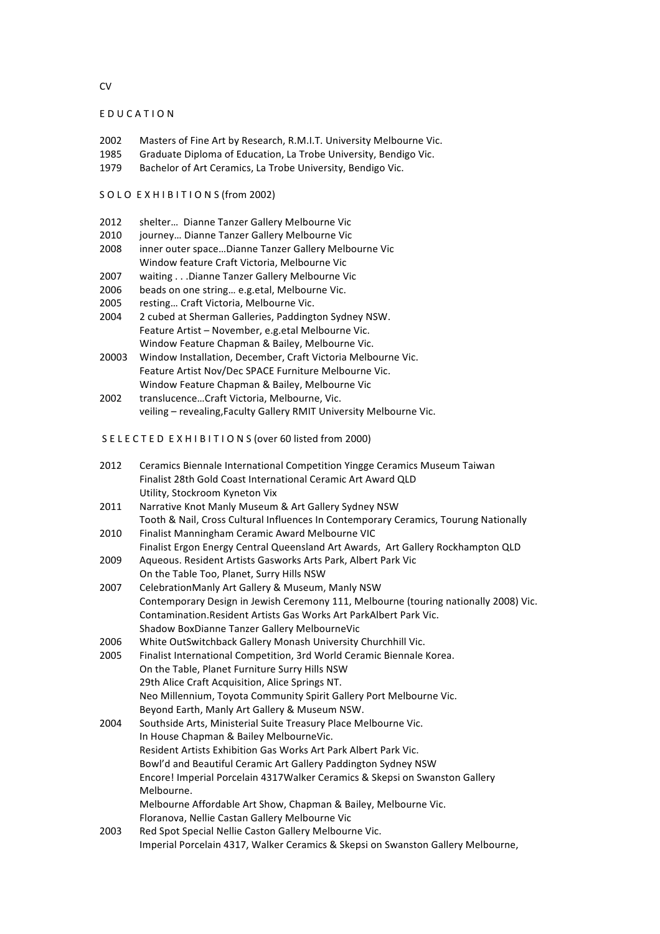#### EDUCATION

- 2002 Masters of Fine Art by Research, R.M.I.T. University Melbourne Vic.
- 1985 Graduate Diploma of Education, La Trobe University, Bendigo Vic.
- 1979 Bachelor of Art Ceramics, La Trobe University, Bendigo Vic.

#### SOLO EXHIBITIONS (from 2002)

- 2012 shelter... Dianne Tanzer Gallery Melbourne Vic
- 2010 journey... Dianne Tanzer Gallery Melbourne Vic
- 2008 inner outer space...Dianne Tanzer Gallery Melbourne Vic Window feature Craft Victoria, Melbourne Vic
- 2007 waiting . . .Dianne Tanzer Gallery Melbourne Vic
- 2006 beads on one string... e.g.etal, Melbourne Vic.
- 2005 resting... Craft Victoria, Melbourne Vic.
- 2004 2 cubed at Sherman Galleries, Paddington Sydney NSW. Feature Artist - November, e.g.etal Melbourne Vic. Window Feature Chapman & Bailey, Melbourne Vic.
- 20003 Window Installation, December, Craft Victoria Melbourne Vic. Feature Artist Nov/Dec SPACE Furniture Melbourne Vic. Window Feature Chapman & Bailey, Melbourne Vic
- 2002 translucence...Craft Victoria, Melbourne, Vic. veiling - revealing, Faculty Gallery RMIT University Melbourne Vic.

SELECTED EXHIBITIONS (over 60 listed from 2000)

- 2012 Ceramics Biennale International Competition Yingge Ceramics Museum Taiwan Finalist 28th Gold Coast International Ceramic Art Award QLD Utility, Stockroom Kyneton Vix
- 2011 Narrative Knot Manly Museum & Art Gallery Sydney NSW Tooth & Nail, Cross Cultural Influences In Contemporary Ceramics, Tourung Nationally
- 2010 Finalist Manningham Ceramic Award Melbourne VIC Finalist Ergon Energy Central Queensland Art Awards, Art Gallery Rockhampton QLD
- 2009 Aqueous. Resident Artists Gasworks Arts Park, Albert Park Vic On the Table Too, Planet, Surry Hills NSW
- 2007 CelebrationManly Art Gallery & Museum, Manly NSW Contemporary Design in Jewish Ceremony 111, Melbourne (touring nationally 2008) Vic. Contamination.Resident Artists Gas Works Art ParkAlbert Park Vic. Shadow BoxDianne Tanzer Gallery MelbourneVic
- 2006 White OutSwitchback Gallery Monash University Churchhill Vic.
- 2005 Finalist International Competition, 3rd World Ceramic Biennale Korea. On the Table, Planet Furniture Surry Hills NSW 29th Alice Craft Acquisition, Alice Springs NT. Neo Millennium, Toyota Community Spirit Gallery Port Melbourne Vic. Beyond Earth, Manly Art Gallery & Museum NSW. 2004 Southside Arts, Ministerial Suite Treasury Place Melbourne Vic.
- In House Chapman & Bailey MelbourneVic. Resident Artists Exhibition Gas Works Art Park Albert Park Vic. Bowl'd and Beautiful Ceramic Art Gallery Paddington Sydney NSW Encore! Imperial Porcelain 4317Walker Ceramics & Skepsi on Swanston Gallery Melbourne. Melbourne Affordable Art Show, Chapman & Bailey, Melbourne Vic. Floranova, Nellie Castan Gallery Melbourne Vic
- 2003 Red Spot Special Nellie Caston Gallery Melbourne Vic. Imperial Porcelain 4317, Walker Ceramics & Skepsi on Swanston Gallery Melbourne,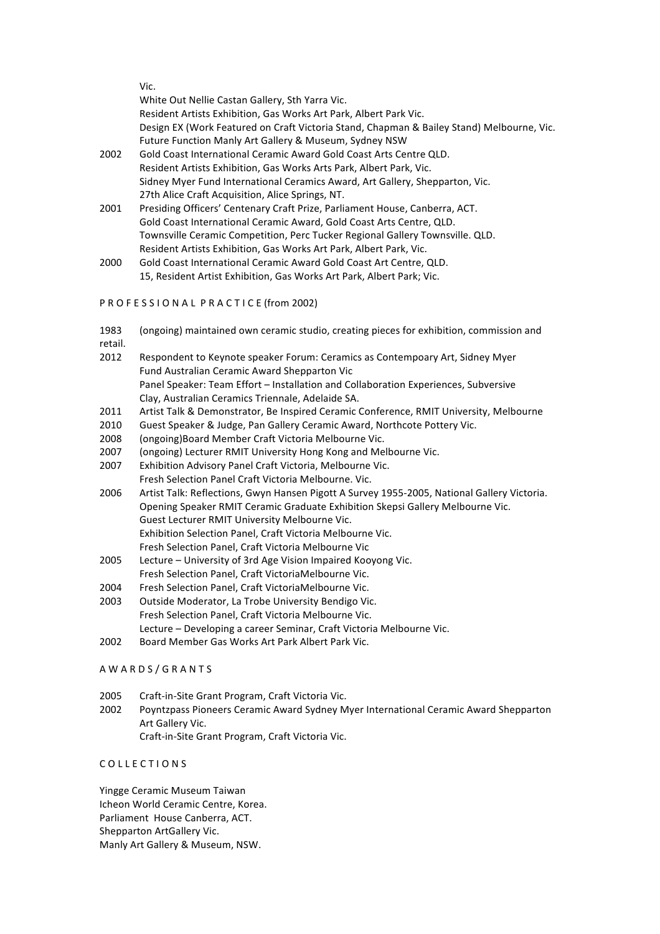|      | Vic.                                                                                      |
|------|-------------------------------------------------------------------------------------------|
|      | White Out Nellie Castan Gallery, Sth Yarra Vic.                                           |
|      | Resident Artists Exhibition, Gas Works Art Park, Albert Park Vic.                         |
|      | Design EX (Work Featured on Craft Victoria Stand, Chapman & Bailey Stand) Melbourne, Vic. |
|      | <b>Future Function Manly Art Gallery &amp; Museum, Sydney NSW</b>                         |
| 2002 | Gold Coast International Ceramic Award Gold Coast Arts Centre QLD.                        |
|      | Resident Artists Exhibition, Gas Works Arts Park, Albert Park, Vic.                       |
|      | Sidney Myer Fund International Ceramics Award, Art Gallery, Shepparton, Vic.              |
|      | 27th Alice Craft Acquisition, Alice Springs, NT.                                          |
| 2001 | Presiding Officers' Centenary Craft Prize, Parliament House, Canberra, ACT.               |
|      | Gold Coast International Ceramic Award, Gold Coast Arts Centre, QLD.                      |
|      | Townsville Ceramic Competition, Perc Tucker Regional Gallery Townsville. QLD.             |
|      | Resident Artists Exhibition, Gas Works Art Park, Albert Park, Vic.                        |
| 2000 | Gold Coast International Ceramic Award Gold Coast Art Centre, QLD.                        |
|      | 15, Resident Artist Exhibition, Gas Works Art Park, Albert Park; Vic.                     |

### PROFESSIONAL PRACTICE (from 2002)

1983 (ongoing) maintained own ceramic studio, creating pieces for exhibition, commission and

retail.

- 2012 Respondent to Keynote speaker Forum: Ceramics as Contempoary Art, Sidney Myer Fund Australian Ceramic Award Shepparton Vic Panel Speaker: Team Effort - Installation and Collaboration Experiences, Subversive Clay, Australian Ceramics Triennale, Adelaide SA.
- 2011 Artist Talk & Demonstrator, Be Inspired Ceramic Conference, RMIT University, Melbourne
- 2010 Guest Speaker & Judge, Pan Gallery Ceramic Award, Northcote Pottery Vic.
- 2008 (ongoing)Board Member Craft Victoria Melbourne Vic.
- 2007 (ongoing) Lecturer RMIT University Hong Kong and Melbourne Vic.
- 2007 Exhibition Advisory Panel Craft Victoria, Melbourne Vic. Fresh Selection Panel Craft Victoria Melbourne. Vic.
- 2006 Artist Talk: Reflections, Gwyn Hansen Pigott A Survey 1955-2005, National Gallery Victoria. Opening Speaker RMIT Ceramic Graduate Exhibition Skepsi Gallery Melbourne Vic. Guest Lecturer RMIT University Melbourne Vic. Exhibition Selection Panel, Craft Victoria Melbourne Vic. Fresh Selection Panel, Craft Victoria Melbourne Vic
- 2005 Lecture University of 3rd Age Vision Impaired Kooyong Vic. Fresh Selection Panel, Craft VictoriaMelbourne Vic.
- 2004 Fresh Selection Panel, Craft VictoriaMelbourne Vic.
- 2003 Outside Moderator, La Trobe University Bendigo Vic. Fresh Selection Panel, Craft Victoria Melbourne Vic. Lecture – Developing a career Seminar, Craft Victoria Melbourne Vic.
- 2002 Board Member Gas Works Art Park Albert Park Vic.

### AWARDS/GRANTS

- 2005 Craft-in-Site Grant Program, Craft Victoria Vic.
- 2002 Poyntzpass Pioneers Ceramic Award Sydney Myer International Ceramic Award Shepparton Art Gallery Vic. Craft-in-Site Grant Program, Craft Victoria Vic.

## COLLECTIONS

Yingge Ceramic Museum Taiwan Icheon World Ceramic Centre, Korea. Parliament House Canberra, ACT. Shepparton ArtGallery Vic. Manly Art Gallery & Museum, NSW.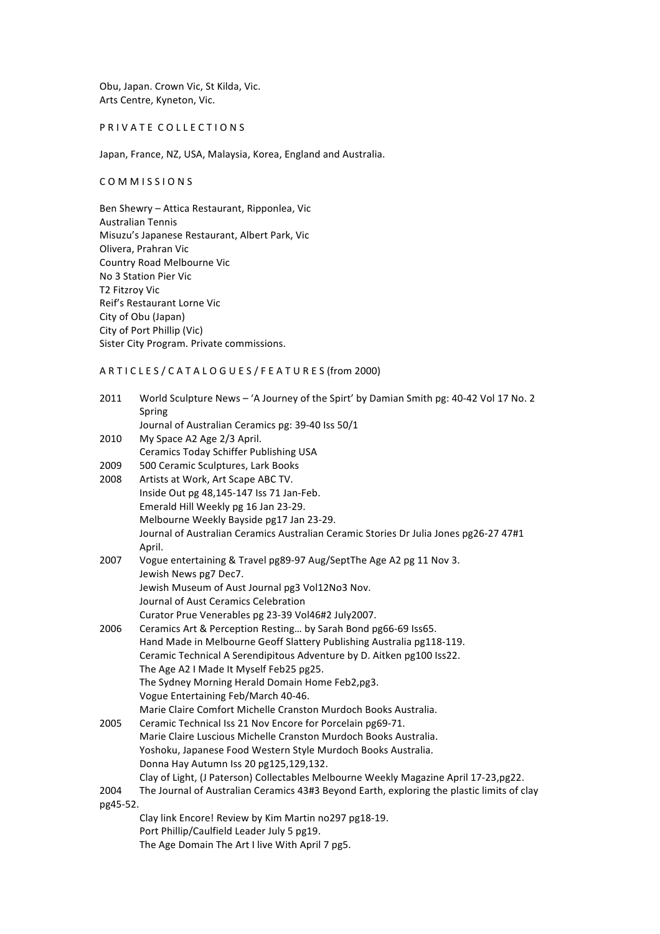Obu, Japan. Crown Vic, St Kilda, Vic. Arts Centre, Kyneton, Vic.

## PRIVATE COLLECTIONS

Japan, France, NZ, USA, Malaysia, Korea, England and Australia.

### COMMISSIONS

Ben Shewry - Attica Restaurant, Ripponlea, Vic Australian Tennis Misuzu's Japanese Restaurant, Albert Park, Vic Olivera, Prahran Vic Country Road Melbourne Vic No 3 Station Pier Vic T2 Fitzroy Vic Reif's Restaurant Lorne Vic City of Obu (Japan) City of Port Phillip (Vic) Sister City Program. Private commissions.

# ARTICLES/CATALOGUES/FEATURES (from 2000)

| 2011     | World Sculpture News - 'A Journey of the Spirt' by Damian Smith pg: 40-42 Vol 17 No. 2     |
|----------|--------------------------------------------------------------------------------------------|
|          | Spring                                                                                     |
|          | Journal of Australian Ceramics pg: 39-40 Iss 50/1                                          |
| 2010     | My Space A2 Age 2/3 April.                                                                 |
|          | Ceramics Today Schiffer Publishing USA                                                     |
| 2009     | 500 Ceramic Sculptures, Lark Books                                                         |
| 2008     | Artists at Work, Art Scape ABC TV.                                                         |
|          | Inside Out pg 48,145-147 Iss 71 Jan-Feb.                                                   |
|          | Emerald Hill Weekly pg 16 Jan 23-29.                                                       |
|          | Melbourne Weekly Bayside pg17 Jan 23-29.                                                   |
|          | Journal of Australian Ceramics Australian Ceramic Stories Dr Julia Jones pg26-27 47#1      |
|          | April.                                                                                     |
| 2007     | Vogue entertaining & Travel pg89-97 Aug/SeptThe Age A2 pg 11 Nov 3.                        |
|          | Jewish News pg7 Dec7.                                                                      |
|          | Jewish Museum of Aust Journal pg3 Vol12No3 Nov.                                            |
|          | Journal of Aust Ceramics Celebration                                                       |
|          | Curator Prue Venerables pg 23-39 Vol46#2 July2007.                                         |
| 2006     | Ceramics Art & Perception Resting by Sarah Bond pg66-69 Iss65.                             |
|          | Hand Made in Melbourne Geoff Slattery Publishing Australia pg118-119.                      |
|          | Ceramic Technical A Serendipitous Adventure by D. Aitken pg100 Iss22.                      |
|          | The Age A2 I Made It Myself Feb25 pg25.                                                    |
|          | The Sydney Morning Herald Domain Home Feb2,pg3.                                            |
|          | Vogue Entertaining Feb/March 40-46.                                                        |
|          | Marie Claire Comfort Michelle Cranston Murdoch Books Australia.                            |
| 2005     | Ceramic Technical Iss 21 Nov Encore for Porcelain pg69-71.                                 |
|          | Marie Claire Luscious Michelle Cranston Murdoch Books Australia.                           |
|          | Yoshoku, Japanese Food Western Style Murdoch Books Australia.                              |
|          | Donna Hay Autumn Iss 20 pg125,129,132.                                                     |
|          | Clay of Light, (J Paterson) Collectables Melbourne Weekly Magazine April 17-23, pg22.      |
| 2004     | The Journal of Australian Ceramics 43#3 Beyond Earth, exploring the plastic limits of clay |
| pg45-52. |                                                                                            |
|          | Clay link Encore! Review by Kim Martin no297 pg18-19.                                      |
|          | Port Phillip/Caulfield Leader July 5 pg19.                                                 |
|          | The Age Domain The Art I live With April 7 pg5.                                            |